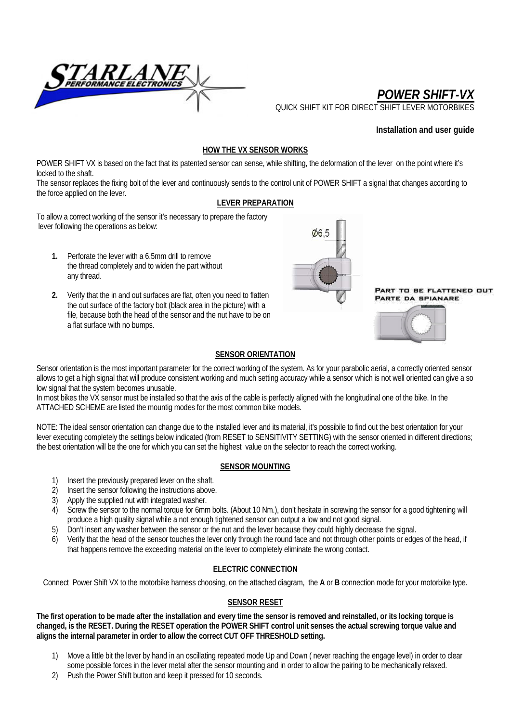

*POWER SHIFT-VX*

QUICK SHIFT KIT FOR DIRECT SHIFT

## **Installation and user guide**

## **HOW THE VX SENSOR WORKS**

POWER SHIFT VX is based on the fact that its patented sensor can sense, while shifting, the deformation of the lever on the point where it's locked to the shaft.

The sensor replaces the fixing bolt of the lever and continuously sends to the control unit of POWER SHIFT a signal that changes according to the force applied on the lever.

## **LEVER PREPARATION**

To allow a correct working of the sensor it's necessary to prepare the factory lever following the operations as below:

- **1.** Perforate the lever with a 6,5mm drill to remove the thread completely and to widen the part without any thread.
- **2.** Verify that the in and out surfaces are flat, often you need to flatten the out surface of the factory bolt (black area in the picture) with a file, because both the head of the sensor and the nut have to be on a flat surface with no bumps.



PART TO BE FLATTENED OUT **PARTE DA SPIANARE** 



#### **SENSOR ORIENTATION**

Sensor orientation is the most important parameter for the correct working of the system. As for your parabolic aerial, a correctly oriented sensor allows to get a high signal that will produce consistent working and much setting accuracy while a sensor which is not well oriented can give a so low signal that the system becomes unusable.

In most bikes the VX sensor must be installed so that the axis of the cable is perfectly aligned with the longitudinal one of the bike. In the ATTACHED SCHEME are listed the mountig modes for the most common bike models.

NOTE: The ideal sensor orientation can change due to the installed lever and its material, it's possibile to find out the best orientation for your lever executing completely the settings below indicated (from RESET to SENSITIVITY SETTING) with the sensor oriented in different directions; the best orientation will be the one for which you can set the highest value on the selector to reach the correct working.

### **SENSOR MOUNTING**

- 1) Insert the previously prepared lever on the shaft.
- 2) Insert the sensor following the instructions above.
- 3) Apply the supplied nut with integrated washer.
- 4) Screw the sensor to the normal torque for 6mm bolts. (About 10 Nm.), don't hesitate in screwing the sensor for a good tightening will produce a high quality signal while a not enough tightened sensor can output a low and not good signal.
- 5) Don't insert any washer between the sensor or the nut and the lever because they could highly decrease the signal.
- 6) Verify that the head of the sensor touches the lever only through the round face and not through other points or edges of the head, if that happens remove the exceeding material on the lever to completely eliminate the wrong contact.

## **ELECTRIC CONNECTION**

Connect Power Shift VX to the motorbike harness choosing, on the attached diagram, the **A** or **B** connection mode for your motorbike type.

### **SENSOR RESET**

**The first operation to be made after the installation and every time the sensor is removed and reinstalled, or its locking torque is changed, is the RESET. During the RESET operation the POWER SHIFT control unit senses the actual screwing torque value and aligns the internal parameter in order to allow the correct CUT OFF THRESHOLD setting.** 

- 1) Move a little bit the lever by hand in an oscillating repeated mode Up and Down ( never reaching the engage level) in order to clear some possible forces in the lever metal after the sensor mounting and in order to allow the pairing to be mechanically relaxed.
- 2) Push the Power Shift button and keep it pressed for 10 seconds.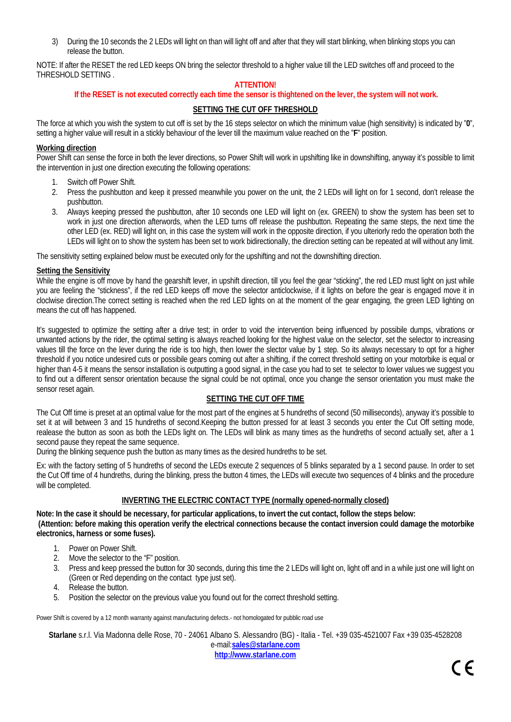3) During the 10 seconds the 2 LEDs will light on than will light off and after that they will start blinking, when blinking stops you can release the button.

NOTE: If after the RESET the red LED keeps ON bring the selector threshold to a higher value till the LED switches off and proceed to the THRESHOLD SETTING .

## **ATTENTION!**

### **If the RESET is not executed correctly each time the sensor is thightened on the lever, the system will not work.**

## **SETTING THE CUT OFF THRESHOLD**

The force at which you wish the system to cut off is set by the 16 steps selector on which the minimum value (high sensitivity) is indicated by "**0**", setting a higher value will result in a stickly behaviour of the lever till the maximum value reached on the "**F**" position.

#### **Working direction**

Power Shift can sense the force in both the lever directions, so Power Shift will work in upshifting like in downshifting, anyway it's possible to limit the intervention in just one direction executing the following operations:

- 1. Switch off Power Shift.
- 2. Press the pushbutton and keep it pressed meanwhile you power on the unit, the 2 LEDs will light on for 1 second, don't release the pushbutton.
- 3. Always keeping pressed the pushbutton, after 10 seconds one LED will light on (ex. GREEN) to show the system has been set to work in just one direction afterwords, when the LED turns off release the pushbutton. Repeating the same steps, the next time the other LED (ex. RED) will light on, in this case the system will work in the opposite direction, if you ulteriorly redo the operation both the LEDs will light on to show the system has been set to work bidirectionally, the direction setting can be repeated at will without any limit.

The sensitivity setting explained below must be executed only for the upshifting and not the downshifting direction.

#### **Setting the Sensitivity**

While the engine is off move by hand the gearshift lever, in upshift direction, till you feel the gear "sticking", the red LED must light on just while you are feeling the "stickness", if the red LED keeps off move the selector anticlockwise, if it lights on before the gear is engaged move it in cloclwise direction.The correct setting is reached when the red LED lights on at the moment of the gear engaging, the green LED lighting on means the cut off has happened.

It's suggested to optimize the setting after a drive test; in order to void the intervention being influenced by possibile dumps, vibrations or unwanted actions by the rider, the optimal setting is always reached looking for the highest value on the selector, set the selector to increasing values till the force on the lever during the ride is too high, then lower the slector value by 1 step. So its always necessary to opt for a higher threshold if you notice undesired cuts or possibile gears coming out after a shifting, if the correct threshold setting on your motorbike is equal or higher than 4-5 it means the sensor installation is outputting a good signal, in the case you had to set te selector to lower values we suggest you to find out a different sensor orientation because the signal could be not optimal, once you change the sensor orientation you must make the sensor reset again.

### **SETTING THE CUT OFF TIME**

The Cut Off time is preset at an optimal value for the most part of the engines at 5 hundreths of second (50 milliseconds), anyway it's possible to set it at will between 3 and 15 hundreths of second.Keeping the button pressed for at least 3 seconds you enter the Cut Off setting mode, realease the button as soon as both the LEDs light on. The LEDs will blink as many times as the hundreths of second actually set, after a 1 second pause they repeat the same sequence.

During the blinking sequence push the button as many times as the desired hundreths to be set.

Ex: with the factory setting of 5 hundreths of second the LEDs execute 2 sequences of 5 blinks separated by a 1 second pause. In order to set the Cut Off time of 4 hundreths, during the blinking, press the button 4 times, the LEDs will execute two sequences of 4 blinks and the procedure will be completed.

### **INVERTING THE ELECTRIC CONTACT TYPE (normally opened-normally closed)**

**Note: In the case it should be necessary, for particular applications, to invert the cut contact, follow the steps below: (Attention: before making this operation verify the electrical connections because the contact inversion could damage the motorbike electronics, harness or some fuses).** 

- 1. Power on Power Shift.
- 2. Move the selector to the "F" position.
- 3. Press and keep pressed the button for 30 seconds, during this time the 2 LEDs will light on, light off and in a while just one will light on (Green or Red depending on the contact type just set).
- 4. Release the button.
- 5. Position the selector on the previous value you found out for the correct threshold setting.

Power Shift is covered by a 12 month warranty against manufacturing defects.- not homologated for pubblic road use

**Starlane** s.r.l. Via Madonna delle Rose, 70 - 24061 Albano S. Alessandro (BG) - Italia - Tel. +39 035-4521007 Fax +39 035-4528208 e-mail:**sales@starlane.com** 

**http://www.starlane.com**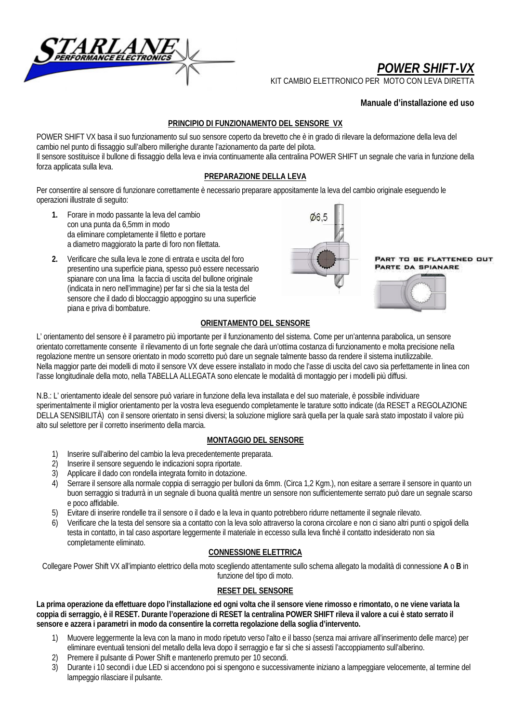

# *POWER SHIFT-VX*

KIT CAMBIO ELETTRONICO PER MOTO CON LEVA DIRETT

## **Manuale d'installazione ed uso**

## **PRINCIPIO DI FUNZIONAMENTO DEL SENSORE VX**

POWER SHIFT VX basa il suo funzionamento sul suo sensore coperto da brevetto che è in grado di rilevare la deformazione della leva del cambio nel punto di fissaggio sull'albero millerighe durante l'azionamento da parte del pilota. Il sensore sostituisce il bullone di fissaggio della leva e invia continuamente alla centralina POWER SHIFT un segnale che varia in funzione della forza applicata sulla leva.

## **PREPARAZIONE DELLA LEVA**

Per consentire al sensore di funzionare correttamente è necessario preparare appositamente la leva del cambio originale eseguendo le operazioni illustrate di seguito:

- **1.** Forare in modo passante la leva del cambio con una punta da 6,5mm in modo da eliminare completamente il filetto e portare a diametro maggiorato la parte di foro non filettata.
- **2.** Verificare che sulla leva le zone di entrata e uscita del foro presentino una superficie piana, spesso può essere necessario spianare con una lima la faccia di uscita del bullone originale (indicata in nero nell'immagine) per far sì che sia la testa del sensore che il dado di bloccaggio appoggino su una superficie piana e priva di bombature.



PART TO BE FLATTENED OUT **PARTE DA SPIANARE** 



## **ORIENTAMENTO DEL SENSORE**

L' orientamento del sensore è il parametro più importante per il funzionamento del sistema. Come per un'antenna parabolica, un sensore orientato correttamente consente il rilevamento di un forte segnale che darà un'ottima costanza di funzionamento e molta precisione nella regolazione mentre un sensore orientato in modo scorretto può dare un segnale talmente basso da rendere il sistema inutilizzabile. Nella maggior parte dei modelli di moto il sensore VX deve essere installato in modo che l'asse di uscita del cavo sia perfettamente in linea con l'asse longitudinale della moto, nella TABELLA ALLEGATA sono elencate le modalità di montaggio per i modelli più diffusi.

N.B.: L' orientamento ideale del sensore può variare in funzione della leva installata e del suo materiale, è possibile individuare sperimentalmente il miglior orientamento per la vostra leva eseguendo completamente le tarature sotto indicate (da RESET a REGOLAZIONE DELLA SENSIBILITÀ) con il sensore orientato in sensi diversi; la soluzione migliore sarà quella per la quale sarà stato impostato il valore più alto sul selettore per il corretto inserimento della marcia.

### **MONTAGGIO DEL SENSORE**

- 1) Inserire sull'alberino del cambio la leva precedentemente preparata.
- 2) Inserire il sensore seguendo le indicazioni sopra riportate.
- 3) Applicare il dado con rondella integrata fornito in dotazione.
- 4) Serrare il sensore alla normale coppia di serraggio per bulloni da 6mm. (Circa 1,2 Kgm.), non esitare a serrare il sensore in quanto un buon serraggio si tradurrà in un segnale di buona qualità mentre un sensore non sufficientemente serrato può dare un segnale scarso e poco affidabile.
- 5) Evitare di inserire rondelle tra il sensore o il dado e la leva in quanto potrebbero ridurre nettamente il segnale rilevato.
- 6) Verificare che la testa del sensore sia a contatto con la leva solo attraverso la corona circolare e non ci siano altri punti o spigoli della testa in contatto, in tal caso asportare leggermente il materiale in eccesso sulla leva finchè il contatto indesiderato non sia completamente eliminato.

### **CONNESSIONE ELETTRICA**

Collegare Power Shift VX all'impianto elettrico della moto scegliendo attentamente sullo schema allegato la modalità di connessione **A** o **B** in funzione del tipo di moto.

### **RESET DEL SENSORE**

**La prima operazione da effettuare dopo l'installazione ed ogni volta che il sensore viene rimosso e rimontato, o ne viene variata la coppia di serraggio, è il RESET. Durante l'operazione di RESET la centralina POWER SHIFT rileva il valore a cui è stato serrato il sensore e azzera i parametri in modo da consentire la corretta regolazione della soglia d'intervento.** 

- 1) Muovere leggermente la leva con la mano in modo ripetuto verso l'alto e il basso (senza mai arrivare all'inserimento delle marce) per eliminare eventuali tensioni del metallo della leva dopo il serraggio e far sì che si assesti l'accoppiamento sull'alberino.
- 2) Premere il pulsante di Power Shift e mantenerlo premuto per 10 secondi.
- 3) Durante i 10 secondi i due LED si accendono poi si spengono e successivamente iniziano a lampeggiare velocemente, al termine del lampeggio rilasciare il pulsante.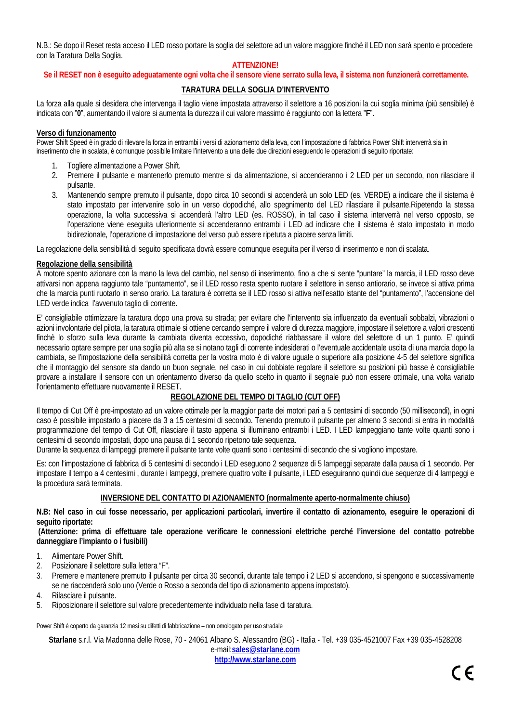N.B.: Se dopo il Reset resta acceso il LED rosso portare la soglia del selettore ad un valore maggiore finchè il LED non sarà spento e procedere con la Taratura Della Soglia.

## **ATTENZIONE!**

### **Se il RESET non è eseguito adeguatamente ogni volta che il sensore viene serrato sulla leva, il sistema non funzionerà correttamente.**

## **TARATURA DELLA SOGLIA D'INTERVENTO**

La forza alla quale si desidera che intervenga il taglio viene impostata attraverso il selettore a 16 posizioni la cui soglia minima (più sensibile) è indicata con "**0**", aumentando il valore si aumenta la durezza il cui valore massimo è raggiunto con la lettera "**F**".

#### **Verso di funzionamento**

Power Shift Speed è in grado di rilevare la forza in entrambi i versi di azionamento della leva, con l'impostazione di fabbrica Power Shift interverrà sia in inserimento che in scalata, è comunque possibile limitare l'intervento a una delle due direzioni eseguendo le operazioni di seguito riportate:

- 1. Togliere alimentazione a Power Shift.
- 2. Premere il pulsante e mantenerlo premuto mentre si da alimentazione, si accenderanno i 2 LED per un secondo, non rilasciare il pulsante.
- 3. Mantenendo sempre premuto il pulsante, dopo circa 10 secondi si accenderà un solo LED (es. VERDE) a indicare che il sistema è stato impostato per intervenire solo in un verso dopodiché, allo spegnimento del LED rilasciare il pulsante.Ripetendo la stessa operazione, la volta successiva si accenderà l'altro LED (es. ROSSO), in tal caso il sistema interverrà nel verso opposto, se l'operazione viene eseguita ulteriormente si accenderanno entrambi i LED ad indicare che il sistema è stato impostato in modo bidirezionale, l'operazione di impostazione del verso può essere ripetuta a piacere senza limiti.

La regolazione della sensibilità di seguito specificata dovrà essere comunque eseguita per il verso di inserimento e non di scalata.

#### **Regolazione della sensibilità**

A motore spento azionare con la mano la leva del cambio, nel senso di inserimento, fino a che si sente "puntare" la marcia, il LED rosso deve attivarsi non appena raggiunto tale "puntamento", se il LED rosso resta spento ruotare il selettore in senso antiorario, se invece si attiva prima che la marcia punti ruotarlo in senso orario. La taratura è corretta se il LED rosso si attiva nell'esatto istante del "puntamento", l'accensione del LED verde indica l'avvenuto taglio di corrente.

E' consigliabile ottimizzare la taratura dopo una prova su strada; per evitare che l'intervento sia influenzato da eventuali sobbalzi, vibrazioni o azioni involontarie del pilota, la taratura ottimale si ottiene cercando sempre il valore di durezza maggiore, impostare il selettore a valori crescenti finchè lo sforzo sulla leva durante la cambiata diventa eccessivo, dopodiché riabbassare il valore del selettore di un 1 punto. E' quindi necessario optare sempre per una soglia più alta se si notano tagli di corrente indesiderati o l'eventuale accidentale uscita di una marcia dopo la cambiata, se l'impostazione della sensibilità corretta per la vostra moto è di valore uguale o superiore alla posizione 4-5 del selettore significa che il montaggio del sensore sta dando un buon segnale, nel caso in cui dobbiate regolare il selettore su posizioni più basse è consigliabile provare a installare il sensore con un orientamento diverso da quello scelto in quanto il segnale può non essere ottimale, una volta variato l'orientamento effettuare nuovamente il RESET.

## **REGOLAZIONE DEL TEMPO DI TAGLIO (CUT OFF)**

Il tempo di Cut Off è pre-impostato ad un valore ottimale per la maggior parte dei motori pari a 5 centesimi di secondo (50 millisecondi), in ogni caso è possibile impostarlo a piacere da 3 a 15 centesimi di secondo. Tenendo premuto il pulsante per almeno 3 secondi si entra in modalità programmazione del tempo di Cut Off, rilasciare il tasto appena si illuminano entrambi i LED. I LED lampeggiano tante volte quanti sono i centesimi di secondo impostati, dopo una pausa di 1 secondo ripetono tale sequenza.

Durante la sequenza di lampeggi premere il pulsante tante volte quanti sono i centesimi di secondo che si vogliono impostare.

Es: con l'impostazione di fabbrica di 5 centesimi di secondo i LED eseguono 2 sequenze di 5 lampeggi separate dalla pausa di 1 secondo. Per impostare il tempo a 4 centesimi , durante i lampeggi, premere quattro volte il pulsante, i LED eseguiranno quindi due sequenze di 4 lampeggi e la procedura sarà terminata.

### **INVERSIONE DEL CONTATTO DI AZIONAMENTO (normalmente aperto-normalmente chiuso)**

**N.B: Nel caso in cui fosse necessario, per applicazioni particolari, invertire il contatto di azionamento, eseguire le operazioni di seguito riportate:** 

 **(Attenzione: prima di effettuare tale operazione verificare le connessioni elettriche perché l'inversione del contatto potrebbe danneggiare l'impianto o i fusibili)** 

- 1. Alimentare Power Shift.
- 2. Posizionare il selettore sulla lettera "F".
- 3. Premere e mantenere premuto il pulsante per circa 30 secondi, durante tale tempo i 2 LED si accendono, si spengono e successivamente se ne riaccenderà solo uno (Verde o Rosso a seconda del tipo di azionamento appena impostato).
- 4. Rilasciare il pulsante.
- 5. Riposizionare il selettore sul valore precedentemente individuato nella fase di taratura.

Power Shift è coperto da garanzia 12 mesi su difetti di fabbricazione – non omologato per uso stradale

**Starlane** s.r.l. Via Madonna delle Rose, 70 - 24061 Albano S. Alessandro (BG) - Italia - Tel. +39 035-4521007 Fax +39 035-4528208 e-mail:**sales@starlane.com** 

**http://www.starlane.com**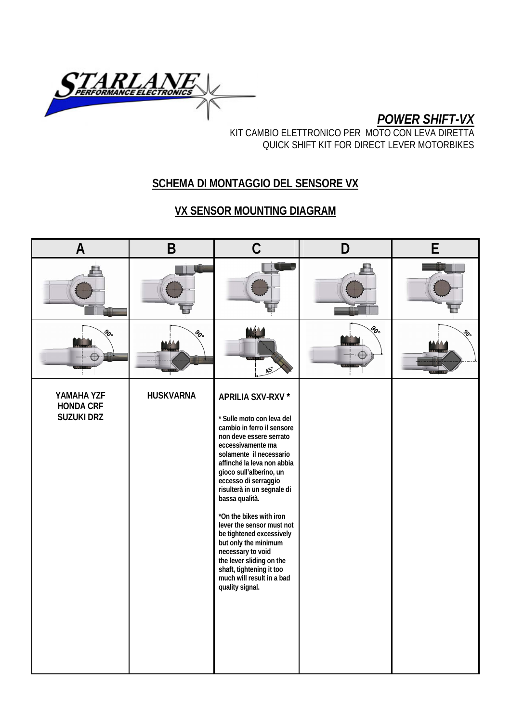

*POWER SHIFT-VX*

KIT CAMBIO ELETTRONICO PER MOTO CON LEVA DIRETTA QUICK SHIFT KIT FOR DIRECT LEVER MOTORBIKES

## **SCHEMA DI MONTAGGIO DEL SENSORE VX**

## **VX SENSOR MOUNTING DIAGRAM**

| $\overline{A}$                                      | B                | C                                                                                                                                                                                                                                                                                                                                                                                                                                                                                                                                 | D  | F  |
|-----------------------------------------------------|------------------|-----------------------------------------------------------------------------------------------------------------------------------------------------------------------------------------------------------------------------------------------------------------------------------------------------------------------------------------------------------------------------------------------------------------------------------------------------------------------------------------------------------------------------------|----|----|
|                                                     |                  |                                                                                                                                                                                                                                                                                                                                                                                                                                                                                                                                   |    |    |
| ಹಿ                                                  | ಹಿ               |                                                                                                                                                                                                                                                                                                                                                                                                                                                                                                                                   | ಹಿ | Ş. |
| YAMAHA YZF<br><b>HONDA CRF</b><br><b>SUZUKI DRZ</b> | <b>HUSKVARNA</b> | APRILIA SXV-RXV *<br>* Sulle moto con leva del<br>cambio in ferro il sensore<br>non deve essere serrato<br>eccessivamente ma<br>solamente il necessario<br>affinché la leva non abbia<br>gioco sull'alberino, un<br>eccesso di serraggio<br>risulterà in un segnale di<br>bassa qualità.<br>*On the bikes with iron<br>lever the sensor must not<br>be tightened excessively<br>but only the minimum<br>necessary to void<br>the lever sliding on the<br>shaft, tightening it too<br>much will result in a bad<br>quality signal. |    |    |